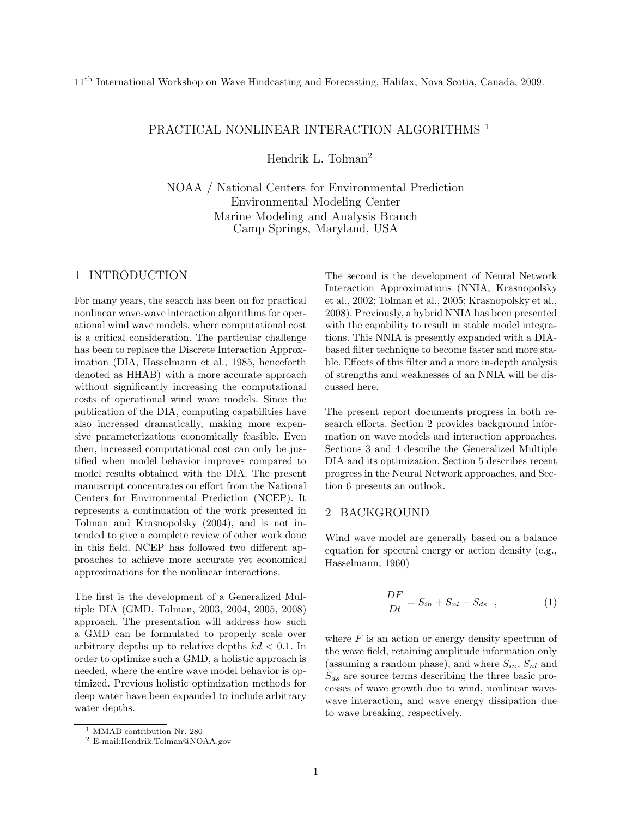# PRACTICAL NONLINEAR INTERACTION ALGORITHMS<sup>1</sup>

Hendrik L. Tolman<sup>2</sup>

NOAA / National Centers for Environmental Prediction Environmental Modeling Center Marine Modeling and Analysis Branch Camp Springs, Maryland, USA

#### 1 INTRODUCTION

For many years, the search has been on for practical nonlinear wave-wave interaction algorithms for operational wind wave models, where computational cost is a critical consideration. The particular challenge has been to replace the Discrete Interaction Approximation (DIA, Hasselmann et al., 1985, henceforth denoted as HHAB) with a more accurate approach without significantly increasing the computational costs of operational wind wave models. Since the publication of the DIA, computing capabilities have also increased dramatically, making more expensive parameterizations economically feasible. Even then, increased computational cost can only be justified when model behavior improves compared to model results obtained with the DIA. The present manuscript concentrates on effort from the National Centers for Environmental Prediction (NCEP). It represents a continuation of the work presented in Tolman and Krasnopolsky (2004), and is not intended to give a complete review of other work done in this field. NCEP has followed two different approaches to achieve more accurate yet economical approximations for the nonlinear interactions.

The first is the development of a Generalized Multiple DIA (GMD, Tolman, 2003, 2004, 2005, 2008) approach. The presentation will address how such a GMD can be formulated to properly scale over arbitrary depths up to relative depths  $kd < 0.1$ . In order to optimize such a GMD, a holistic approach is needed, where the entire wave model behavior is optimized. Previous holistic optimization methods for deep water have been expanded to include arbitrary water depths.

The second is the development of Neural Network Interaction Approximations (NNIA, Krasnopolsky et al., 2002; Tolman et al., 2005; Krasnopolsky et al., 2008). Previously, a hybrid NNIA has been presented with the capability to result in stable model integrations. This NNIA is presently expanded with a DIAbased filter technique to become faster and more stable. Effects of this filter and a more in-depth analysis of strengths and weaknesses of an NNIA will be discussed here.

The present report documents progress in both research efforts. Section 2 provides background information on wave models and interaction approaches. Sections 3 and 4 describe the Generalized Multiple DIA and its optimization. Section 5 describes recent progress in the Neural Network approaches, and Section 6 presents an outlook.

# 2 BACKGROUND

Wind wave model are generally based on a balance equation for spectral energy or action density (e.g., Hasselmann, 1960)

$$
\frac{DF}{Dt} = S_{in} + S_{nl} + S_{ds} \quad , \tag{1}
$$

where  $F$  is an action or energy density spectrum of the wave field, retaining amplitude information only (assuming a random phase), and where  $S_{in}$ ,  $S_{nl}$  and  $S_{ds}$  are source terms describing the three basic processes of wave growth due to wind, nonlinear wavewave interaction, and wave energy dissipation due to wave breaking, respectively.

<sup>&</sup>lt;sup>1</sup> MMAB contribution Nr. 280

<sup>2</sup> E-mail:Hendrik.Tolman@NOAA.gov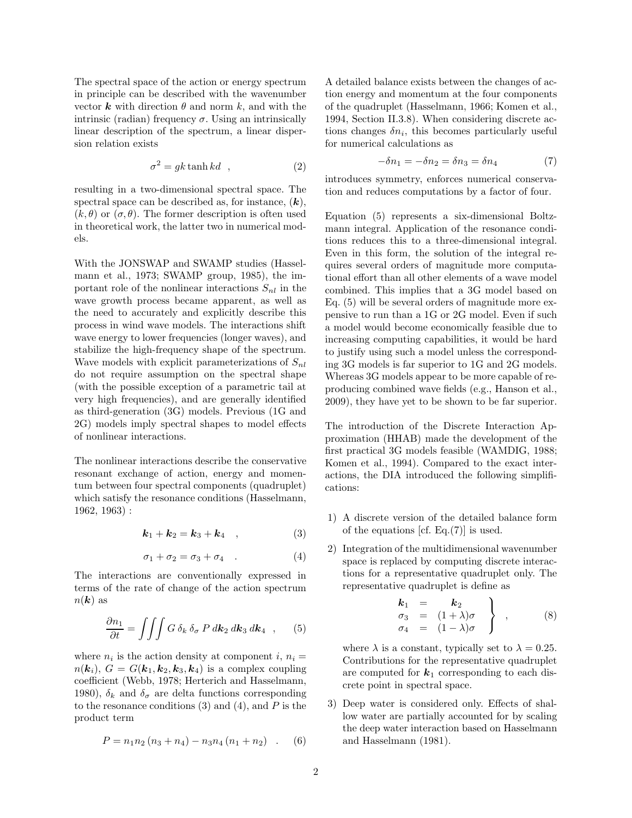The spectral space of the action or energy spectrum in principle can be described with the wavenumber vector **k** with direction  $\theta$  and norm k, and with the intrinsic (radian) frequency  $\sigma$ . Using an intrinsically linear description of the spectrum, a linear dispersion relation exists

$$
\sigma^2 = gk \tanh kd \quad , \tag{2}
$$

resulting in a two-dimensional spectral space. The spectral space can be described as, for instance,  $(k)$ ,  $(k, \theta)$  or  $(\sigma, \theta)$ . The former description is often used in theoretical work, the latter two in numerical models.

With the JONSWAP and SWAMP studies (Hasselmann et al., 1973; SWAMP group, 1985), the important role of the nonlinear interactions  $S_{nl}$  in the wave growth process became apparent, as well as the need to accurately and explicitly describe this process in wind wave models. The interactions shift wave energy to lower frequencies (longer waves), and stabilize the high-frequency shape of the spectrum. Wave models with explicit parameterizations of  $S_{nl}$ do not require assumption on the spectral shape (with the possible exception of a parametric tail at very high frequencies), and are generally identified as third-generation (3G) models. Previous (1G and 2G) models imply spectral shapes to model effects of nonlinear interactions.

The nonlinear interactions describe the conservative resonant exchange of action, energy and momentum between four spectral components (quadruplet) which satisfy the resonance conditions (Hasselmann, 1962, 1963) :

$$
k_1 + k_2 = k_3 + k_4 \quad , \tag{3}
$$

$$
\sigma_1 + \sigma_2 = \sigma_3 + \sigma_4 \quad . \tag{4}
$$

The interactions are conventionally expressed in terms of the rate of change of the action spectrum  $n(\mathbf{k})$  as

$$
\frac{\partial n_1}{\partial t} = \iiint G \, \delta_k \, \delta_\sigma \, P \, d\mathbf{k}_2 \, d\mathbf{k}_3 \, d\mathbf{k}_4 \quad , \qquad (5)
$$

where  $n_i$  is the action density at component i,  $n_i =$  $n(\mathbf{k}_i)$ ,  $G = G(\mathbf{k}_1, \mathbf{k}_2, \mathbf{k}_3, \mathbf{k}_4)$  is a complex coupling coefficient (Webb, 1978; Herterich and Hasselmann, 1980),  $\delta_k$  and  $\delta_{\sigma}$  are delta functions corresponding to the resonance conditions  $(3)$  and  $(4)$ , and P is the product term

$$
P = n_1 n_2 (n_3 + n_4) - n_3 n_4 (n_1 + n_2) \quad . \quad (6)
$$

A detailed balance exists between the changes of action energy and momentum at the four components of the quadruplet (Hasselmann, 1966; Komen et al., 1994, Section II.3.8). When considering discrete actions changes  $\delta n_i$ , this becomes particularly useful for numerical calculations as

$$
-\delta n_1 = -\delta n_2 = \delta n_3 = \delta n_4 \tag{7}
$$

introduces symmetry, enforces numerical conservation and reduces computations by a factor of four.

Equation (5) represents a six-dimensional Boltzmann integral. Application of the resonance conditions reduces this to a three-dimensional integral. Even in this form, the solution of the integral requires several orders of magnitude more computational effort than all other elements of a wave model combined. This implies that a 3G model based on Eq. (5) will be several orders of magnitude more expensive to run than a 1G or 2G model. Even if such a model would become economically feasible due to increasing computing capabilities, it would be hard to justify using such a model unless the corresponding 3G models is far superior to 1G and 2G models. Whereas 3G models appear to be more capable of reproducing combined wave fields (e.g., Hanson et al., 2009), they have yet to be shown to be far superior.

The introduction of the Discrete Interaction Approximation (HHAB) made the development of the first practical 3G models feasible (WAMDIG, 1988; Komen et al., 1994). Compared to the exact interactions, the DIA introduced the following simplifications:

- 1) A discrete version of the detailed balance form of the equations [cf. Eq.(7)] is used.
- 2) Integration of the multidimensional wavenumber space is replaced by computing discrete interactions for a representative quadruplet only. The representative quadruplet is define as

$$
\begin{array}{rcl}\n\mathbf{k}_1 & = & \mathbf{k}_2 \\
\sigma_3 & = & (1+\lambda)\sigma \\
\sigma_4 & = & (1-\lambda)\sigma\n\end{array}\n\bigg\}\n\quad (8)
$$

where  $\lambda$  is a constant, typically set to  $\lambda = 0.25$ . Contributions for the representative quadruplet are computed for  $k_1$  corresponding to each discrete point in spectral space.

3) Deep water is considered only. Effects of shallow water are partially accounted for by scaling the deep water interaction based on Hasselmann and Hasselmann (1981).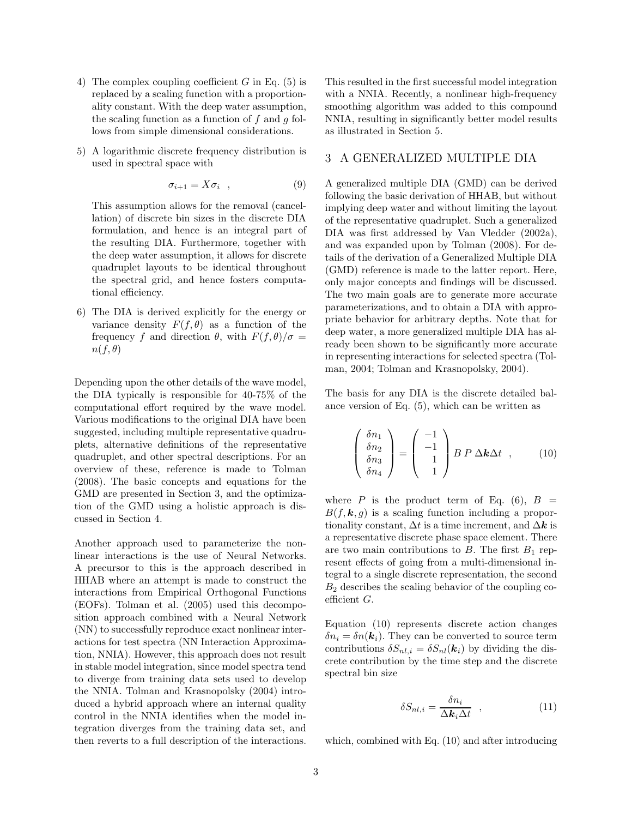- 4) The complex coupling coefficient  $G$  in Eq. (5) is replaced by a scaling function with a proportionality constant. With the deep water assumption, the scaling function as a function of  $f$  and  $g$  follows from simple dimensional considerations.
- 5) A logarithmic discrete frequency distribution is used in spectral space with

$$
\sigma_{i+1} = X \sigma_i \quad , \tag{9}
$$

This assumption allows for the removal (cancellation) of discrete bin sizes in the discrete DIA formulation, and hence is an integral part of the resulting DIA. Furthermore, together with the deep water assumption, it allows for discrete quadruplet layouts to be identical throughout the spectral grid, and hence fosters computational efficiency.

6) The DIA is derived explicitly for the energy or variance density  $F(f, \theta)$  as a function of the frequency f and direction  $\theta$ , with  $F(f, \theta)/\sigma =$  $n(f, \theta)$ 

Depending upon the other details of the wave model, the DIA typically is responsible for 40-75% of the computational effort required by the wave model. Various modifications to the original DIA have been suggested, including multiple representative quadruplets, alternative definitions of the representative quadruplet, and other spectral descriptions. For an overview of these, reference is made to Tolman (2008). The basic concepts and equations for the GMD are presented in Section 3, and the optimization of the GMD using a holistic approach is discussed in Section 4.

Another approach used to parameterize the nonlinear interactions is the use of Neural Networks. A precursor to this is the approach described in HHAB where an attempt is made to construct the interactions from Empirical Orthogonal Functions (EOFs). Tolman et al. (2005) used this decomposition approach combined with a Neural Network (NN) to successfully reproduce exact nonlinear interactions for test spectra (NN Interaction Approximation, NNIA). However, this approach does not result in stable model integration, since model spectra tend to diverge from training data sets used to develop the NNIA. Tolman and Krasnopolsky (2004) introduced a hybrid approach where an internal quality control in the NNIA identifies when the model integration diverges from the training data set, and then reverts to a full description of the interactions. This resulted in the first successful model integration with a NNIA. Recently, a nonlinear high-frequency smoothing algorithm was added to this compound NNIA, resulting in significantly better model results as illustrated in Section 5.

#### 3 A GENERALIZED MULTIPLE DIA

A generalized multiple DIA (GMD) can be derived following the basic derivation of HHAB, but without implying deep water and without limiting the layout of the representative quadruplet. Such a generalized DIA was first addressed by Van Vledder (2002a), and was expanded upon by Tolman (2008). For details of the derivation of a Generalized Multiple DIA (GMD) reference is made to the latter report. Here, only major concepts and findings will be discussed. The two main goals are to generate more accurate parameterizations, and to obtain a DIA with appropriate behavior for arbitrary depths. Note that for deep water, a more generalized multiple DIA has already been shown to be significantly more accurate in representing interactions for selected spectra (Tolman, 2004; Tolman and Krasnopolsky, 2004).

The basis for any DIA is the discrete detailed balance version of Eq. (5), which can be written as

$$
\begin{pmatrix} \delta n_1 \\ \delta n_2 \\ \delta n_3 \\ \delta n_4 \end{pmatrix} = \begin{pmatrix} -1 \\ -1 \\ 1 \\ 1 \end{pmatrix} B P \Delta k \Delta t , \qquad (10)
$$

where P is the product term of Eq.  $(6)$ ,  $B =$  $B(f, \mathbf{k}, q)$  is a scaling function including a proportionality constant,  $\Delta t$  is a time increment, and  $\Delta k$  is a representative discrete phase space element. There are two main contributions to  $B$ . The first  $B_1$  represent effects of going from a multi-dimensional integral to a single discrete representation, the second  $B_2$  describes the scaling behavior of the coupling coefficient G.

Equation (10) represents discrete action changes  $\delta n_i = \delta n(\mathbf{k}_i)$ . They can be converted to source term contributions  $\delta S_{nl,i} = \delta S_{nl}(\mathbf{k}_i)$  by dividing the discrete contribution by the time step and the discrete spectral bin size

$$
\delta S_{nl,i} = \frac{\delta n_i}{\Delta k_i \Delta t} \quad , \tag{11}
$$

which, combined with Eq. (10) and after introducing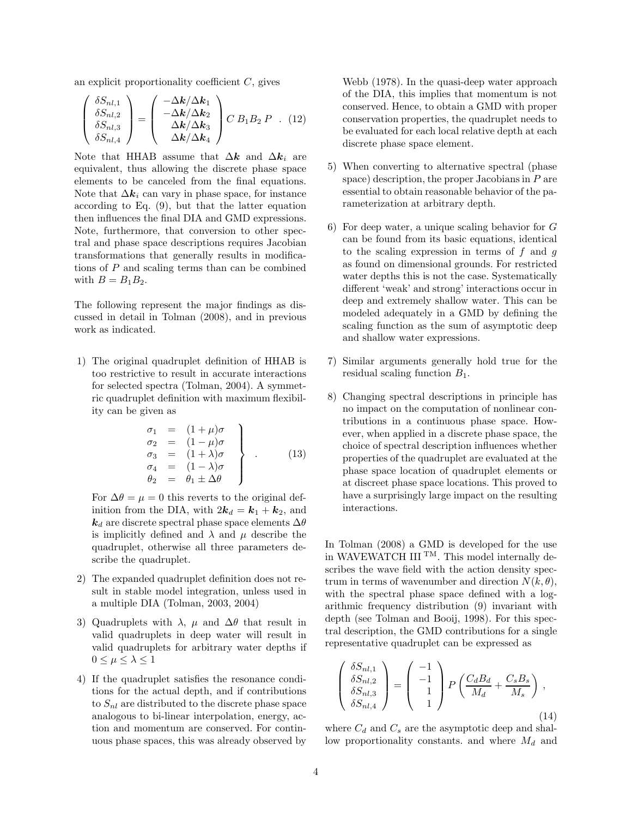an explicit proportionality coefficient  $C$ , gives

$$
\begin{pmatrix}\n\delta S_{nl,1} \\
\delta S_{nl,2} \\
\delta S_{nl,3} \\
\delta S_{nl,4}\n\end{pmatrix} = \begin{pmatrix}\n-\Delta k/\Delta k_1 \\
-\Delta k/\Delta k_2 \\
\Delta k/\Delta k_3 \\
\Delta k/\Delta k_4\n\end{pmatrix} C B_1 B_2 P . (12)
$$

Note that HHAB assume that  $\Delta k$  and  $\Delta k_i$  are equivalent, thus allowing the discrete phase space elements to be canceled from the final equations. Note that  $\Delta k_i$  can vary in phase space, for instance according to Eq. (9), but that the latter equation then influences the final DIA and GMD expressions. Note, furthermore, that conversion to other spectral and phase space descriptions requires Jacobian transformations that generally results in modifications of P and scaling terms than can be combined with  $B = B_1 B_2$ .

The following represent the major findings as discussed in detail in Tolman (2008), and in previous work as indicated.

1) The original quadruplet definition of HHAB is too restrictive to result in accurate interactions for selected spectra (Tolman, 2004). A symmetric quadruplet definition with maximum flexibility can be given as

$$
\begin{array}{rcl}\n\sigma_1 &=& (1 + \mu)\sigma \\
\sigma_2 &=& (1 - \mu)\sigma \\
\sigma_3 &=& (1 + \lambda)\sigma \\
\sigma_4 &=& (1 - \lambda)\sigma \\
\theta_2 &=& \theta_1 \pm \Delta\theta\n\end{array} \bigg\} \quad . \tag{13}
$$

For  $\Delta\theta = \mu = 0$  this reverts to the original definition from the DIA, with  $2\mathbf{k}_d = \mathbf{k}_1 + \mathbf{k}_2$ , and  $k_d$  are discrete spectral phase space elements  $\Delta\theta$ is implicitly defined and  $\lambda$  and  $\mu$  describe the quadruplet, otherwise all three parameters describe the quadruplet.

- 2) The expanded quadruplet definition does not result in stable model integration, unless used in a multiple DIA (Tolman, 2003, 2004)
- 3) Quadruplets with  $\lambda$ ,  $\mu$  and  $\Delta\theta$  that result in valid quadruplets in deep water will result in valid quadruplets for arbitrary water depths if  $0 \leq \mu \leq \lambda \leq 1$
- 4) If the quadruplet satisfies the resonance conditions for the actual depth, and if contributions to  $S_{nl}$  are distributed to the discrete phase space analogous to bi-linear interpolation, energy, action and momentum are conserved. For continuous phase spaces, this was already observed by

Webb (1978). In the quasi-deep water approach of the DIA, this implies that momentum is not conserved. Hence, to obtain a GMD with proper conservation properties, the quadruplet needs to be evaluated for each local relative depth at each discrete phase space element.

- 5) When converting to alternative spectral (phase space) description, the proper Jacobians in  $P$  are essential to obtain reasonable behavior of the parameterization at arbitrary depth.
- 6) For deep water, a unique scaling behavior for  $G$ can be found from its basic equations, identical to the scaling expression in terms of  $f$  and  $g$ as found on dimensional grounds. For restricted water depths this is not the case. Systematically different 'weak' and strong' interactions occur in deep and extremely shallow water. This can be modeled adequately in a GMD by defining the scaling function as the sum of asymptotic deep and shallow water expressions.
- 7) Similar arguments generally hold true for the residual scaling function  $B_1$ .
- 8) Changing spectral descriptions in principle has no impact on the computation of nonlinear contributions in a continuous phase space. However, when applied in a discrete phase space, the choice of spectral description influences whether properties of the quadruplet are evaluated at the phase space location of quadruplet elements or at discreet phase space locations. This proved to have a surprisingly large impact on the resulting interactions.

In Tolman (2008) a GMD is developed for the use in WAVEWATCH III<sup>TM</sup>. This model internally describes the wave field with the action density spectrum in terms of wavenumber and direction  $N(k, \theta)$ , with the spectral phase space defined with a logarithmic frequency distribution (9) invariant with depth (see Tolman and Booij, 1998). For this spectral description, the GMD contributions for a single representative quadruplet can be expressed as

$$
\begin{pmatrix}\n\delta S_{nl,1} \\
\delta S_{nl,2} \\
\delta S_{nl,3} \\
\delta S_{nl,4}\n\end{pmatrix} = \begin{pmatrix}\n-1 \\
-1 \\
1 \\
1\n\end{pmatrix} P \begin{pmatrix}\nC_d B_d \\
M_d\n\end{pmatrix} + \frac{C_s B_s}{M_s}\right),
$$
\n(14)

where  $C_d$  and  $C_s$  are the asymptotic deep and shallow proportionality constants. and where  $M_d$  and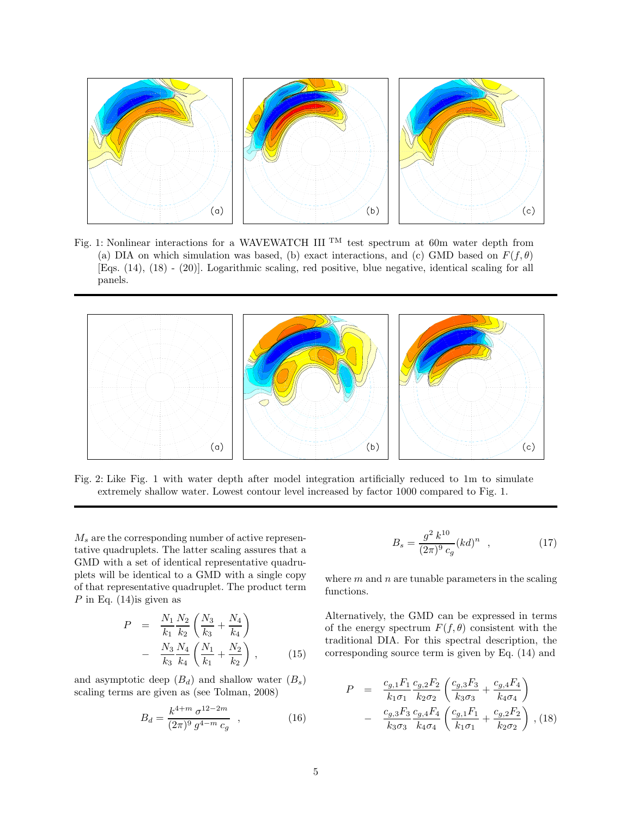

Fig. 1: Nonlinear interactions for a WAVEWATCH III<sup>TM</sup> test spectrum at 60m water depth from (a) DIA on which simulation was based, (b) exact interactions, and (c) GMD based on  $F(f, \theta)$ [Eqs. (14), (18) - (20)]. Logarithmic scaling, red positive, blue negative, identical scaling for all panels.



Fig. 2: Like Fig. 1 with water depth after model integration artificially reduced to 1m to simulate extremely shallow water. Lowest contour level increased by factor 1000 compared to Fig. 1.

 $M_s$  are the corresponding number of active representative quadruplets. The latter scaling assures that a GMD with a set of identical representative quadruplets will be identical to a GMD with a single copy of that representative quadruplet. The product term P in Eq.  $(14)$  is given as

$$
P = \frac{N_1}{k_1} \frac{N_2}{k_2} \left( \frac{N_3}{k_3} + \frac{N_4}{k_4} \right)
$$
  
- 
$$
\frac{N_3}{k_3} \frac{N_4}{k_4} \left( \frac{N_1}{k_1} + \frac{N_2}{k_2} \right),
$$
 (15)

and asymptotic deep  $(B_d)$  and shallow water  $(B_s)$ scaling terms are given as (see Tolman, 2008)

$$
B_d = \frac{k^{4+m} \sigma^{12-2m}}{(2\pi)^9 g^{4-m} c_g} , \qquad (16)
$$

$$
B_s = \frac{g^2 k^{10}}{(2\pi)^9 c_g} (kd)^n \quad , \tag{17}
$$

where  $m$  and  $n$  are tunable parameters in the scaling functions.

Alternatively, the GMD can be expressed in terms of the energy spectrum  $F(f, \theta)$  consistent with the traditional DIA. For this spectral description, the corresponding source term is given by Eq. (14) and

$$
P = \frac{c_{g,1}F_1}{k_1\sigma_1} \frac{c_{g,2}F_2}{k_2\sigma_2} \left( \frac{c_{g,3}F_3}{k_3\sigma_3} + \frac{c_{g,4}F_4}{k_4\sigma_4} \right)
$$

$$
- \frac{c_{g,3}F_3}{k_3\sigma_3} \frac{c_{g,4}F_4}{k_4\sigma_4} \left( \frac{c_{g,1}F_1}{k_1\sigma_1} + \frac{c_{g,2}F_2}{k_2\sigma_2} \right), (18)
$$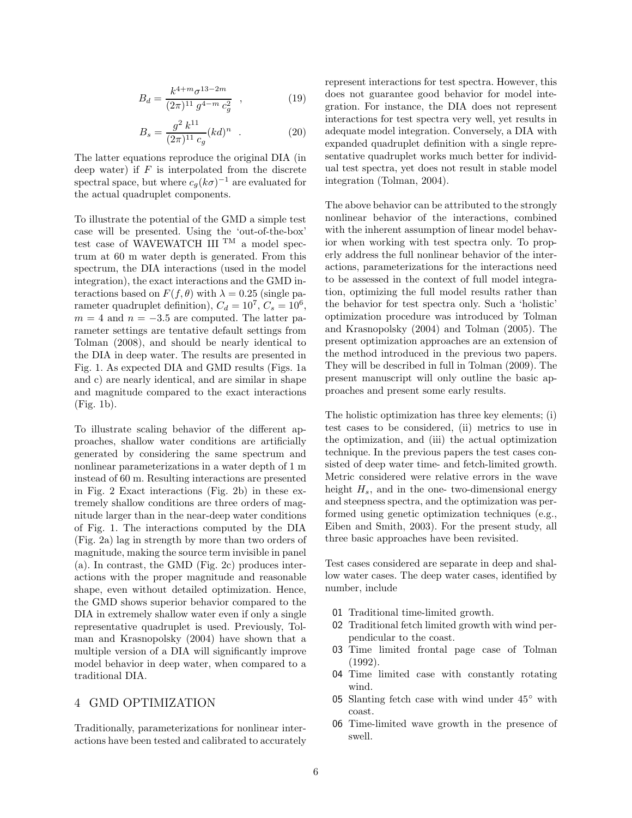$$
B_d = \frac{k^{4+m} \sigma^{13-2m}}{(2\pi)^{11} g^{4-m} c_g^2} , \qquad (19)
$$

$$
B_s = \frac{g^2 k^{11}}{(2\pi)^{11} c_g} (kd)^n \quad . \tag{20}
$$

The latter equations reproduce the original DIA (in deep water) if  $F$  is interpolated from the discrete spectral space, but where  $c_g(k\sigma)^{-1}$  are evaluated for the actual quadruplet components.

To illustrate the potential of the GMD a simple test case will be presented. Using the 'out-of-the-box' test case of WAVEWATCH III  $\text{TM}$  a model spectrum at 60 m water depth is generated. From this spectrum, the DIA interactions (used in the model integration), the exact interactions and the GMD interactions based on  $F(f, \theta)$  with  $\lambda = 0.25$  (single parameter quadruplet definition),  $C_d = 10^7$ ,  $C_s = 10^6$ ,  $m = 4$  and  $n = -3.5$  are computed. The latter parameter settings are tentative default settings from Tolman (2008), and should be nearly identical to the DIA in deep water. The results are presented in Fig. 1. As expected DIA and GMD results (Figs. 1a and c) are nearly identical, and are similar in shape and magnitude compared to the exact interactions (Fig. 1b).

To illustrate scaling behavior of the different approaches, shallow water conditions are artificially generated by considering the same spectrum and nonlinear parameterizations in a water depth of 1 m instead of 60 m. Resulting interactions are presented in Fig. 2 Exact interactions (Fig. 2b) in these extremely shallow conditions are three orders of magnitude larger than in the near-deep water conditions of Fig. 1. The interactions computed by the DIA (Fig. 2a) lag in strength by more than two orders of magnitude, making the source term invisible in panel (a). In contrast, the GMD (Fig. 2c) produces interactions with the proper magnitude and reasonable shape, even without detailed optimization. Hence, the GMD shows superior behavior compared to the DIA in extremely shallow water even if only a single representative quadruplet is used. Previously, Tolman and Krasnopolsky (2004) have shown that a multiple version of a DIA will significantly improve model behavior in deep water, when compared to a traditional DIA.

# 4 GMD OPTIMIZATION

Traditionally, parameterizations for nonlinear interactions have been tested and calibrated to accurately represent interactions for test spectra. However, this does not guarantee good behavior for model integration. For instance, the DIA does not represent interactions for test spectra very well, yet results in adequate model integration. Conversely, a DIA with expanded quadruplet definition with a single representative quadruplet works much better for individual test spectra, yet does not result in stable model integration (Tolman, 2004).

The above behavior can be attributed to the strongly nonlinear behavior of the interactions, combined with the inherent assumption of linear model behavior when working with test spectra only. To properly address the full nonlinear behavior of the interactions, parameterizations for the interactions need to be assessed in the context of full model integration, optimizing the full model results rather than the behavior for test spectra only. Such a 'holistic' optimization procedure was introduced by Tolman and Krasnopolsky (2004) and Tolman (2005). The present optimization approaches are an extension of the method introduced in the previous two papers. They will be described in full in Tolman (2009). The present manuscript will only outline the basic approaches and present some early results.

The holistic optimization has three key elements; (i) test cases to be considered, (ii) metrics to use in the optimization, and (iii) the actual optimization technique. In the previous papers the test cases consisted of deep water time- and fetch-limited growth. Metric considered were relative errors in the wave height  $H_s$ , and in the one- two-dimensional energy and steepness spectra, and the optimization was performed using genetic optimization techniques (e.g., Eiben and Smith, 2003). For the present study, all three basic approaches have been revisited.

Test cases considered are separate in deep and shallow water cases. The deep water cases, identified by number, include

- 01 Traditional time-limited growth.
- 02 Traditional fetch limited growth with wind perpendicular to the coast.
- 03 Time limited frontal page case of Tolman (1992).
- 04 Time limited case with constantly rotating wind.
- 05 Slanting fetch case with wind under 45◦ with coast.
- 06 Time-limited wave growth in the presence of swell.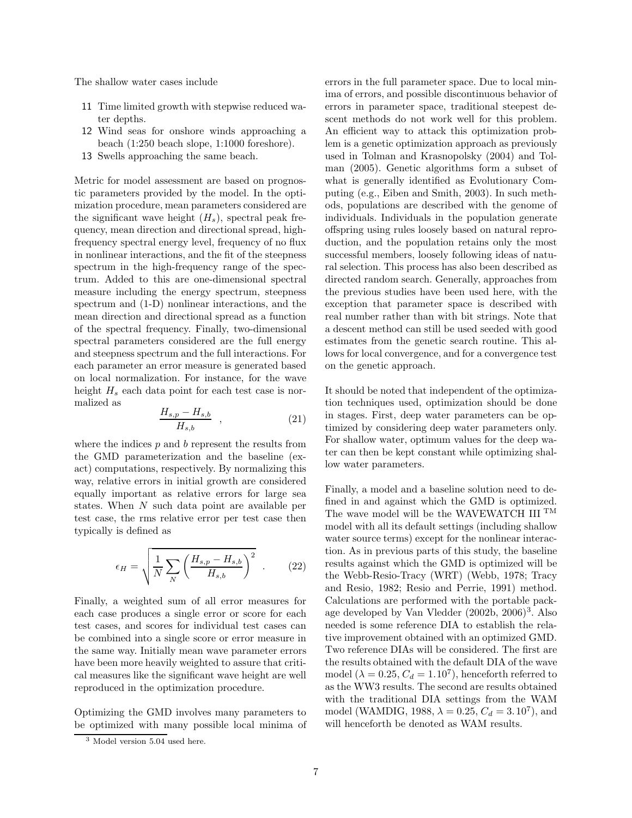The shallow water cases include

- 11 Time limited growth with stepwise reduced water depths.
- 12 Wind seas for onshore winds approaching a beach (1:250 beach slope, 1:1000 foreshore).
- 13 Swells approaching the same beach.

Metric for model assessment are based on prognostic parameters provided by the model. In the optimization procedure, mean parameters considered are the significant wave height  $(H_s)$ , spectral peak frequency, mean direction and directional spread, highfrequency spectral energy level, frequency of no flux in nonlinear interactions, and the fit of the steepness spectrum in the high-frequency range of the spectrum. Added to this are one-dimensional spectral measure including the energy spectrum, steepness spectrum and (1-D) nonlinear interactions, and the mean direction and directional spread as a function of the spectral frequency. Finally, two-dimensional spectral parameters considered are the full energy and steepness spectrum and the full interactions. For each parameter an error measure is generated based on local normalization. For instance, for the wave height  $H_s$  each data point for each test case is normalized as

$$
\frac{H_{s,p} - H_{s,b}}{H_{s,b}} \quad , \tag{21}
$$

where the indices  $p$  and  $b$  represent the results from the GMD parameterization and the baseline (exact) computations, respectively. By normalizing this way, relative errors in initial growth are considered equally important as relative errors for large sea states. When N such data point are available per test case, the rms relative error per test case then typically is defined as

$$
\epsilon_H = \sqrt{\frac{1}{N} \sum_N \left( \frac{H_{s,p} - H_{s,b}}{H_{s,b}} \right)^2} \quad . \tag{22}
$$

Finally, a weighted sum of all error measures for each case produces a single error or score for each test cases, and scores for individual test cases can be combined into a single score or error measure in the same way. Initially mean wave parameter errors have been more heavily weighted to assure that critical measures like the significant wave height are well reproduced in the optimization procedure.

Optimizing the GMD involves many parameters to be optimized with many possible local minima of errors in the full parameter space. Due to local minima of errors, and possible discontinuous behavior of errors in parameter space, traditional steepest descent methods do not work well for this problem. An efficient way to attack this optimization problem is a genetic optimization approach as previously used in Tolman and Krasnopolsky (2004) and Tolman (2005). Genetic algorithms form a subset of what is generally identified as Evolutionary Computing (e.g., Eiben and Smith, 2003). In such methods, populations are described with the genome of individuals. Individuals in the population generate offspring using rules loosely based on natural reproduction, and the population retains only the most successful members, loosely following ideas of natural selection. This process has also been described as directed random search. Generally, approaches from the previous studies have been used here, with the exception that parameter space is described with real number rather than with bit strings. Note that a descent method can still be used seeded with good estimates from the genetic search routine. This allows for local convergence, and for a convergence test on the genetic approach.

It should be noted that independent of the optimization techniques used, optimization should be done in stages. First, deep water parameters can be optimized by considering deep water parameters only. For shallow water, optimum values for the deep water can then be kept constant while optimizing shallow water parameters.

Finally, a model and a baseline solution need to defined in and against which the GMD is optimized. The wave model will be the WAVEWATCH III  $^{\rm TM}$ model with all its default settings (including shallow water source terms) except for the nonlinear interaction. As in previous parts of this study, the baseline results against which the GMD is optimized will be the Webb-Resio-Tracy (WRT) (Webb, 1978; Tracy and Resio, 1982; Resio and Perrie, 1991) method. Calculations are performed with the portable package developed by Van Vledder (2002b, 2006)<sup>3</sup>. Also needed is some reference DIA to establish the relative improvement obtained with an optimized GMD. Two reference DIAs will be considered. The first are the results obtained with the default DIA of the wave model ( $\lambda = 0.25, C_d = 1.10^7$ ), henceforth referred to as the WW3 results. The second are results obtained with the traditional DIA settings from the WAM model (WAMDIG, 1988,  $\lambda = 0.25, C_d = 3.10^7$ ), and will henceforth be denoted as WAM results.

<sup>3</sup> Model version 5.04 used here.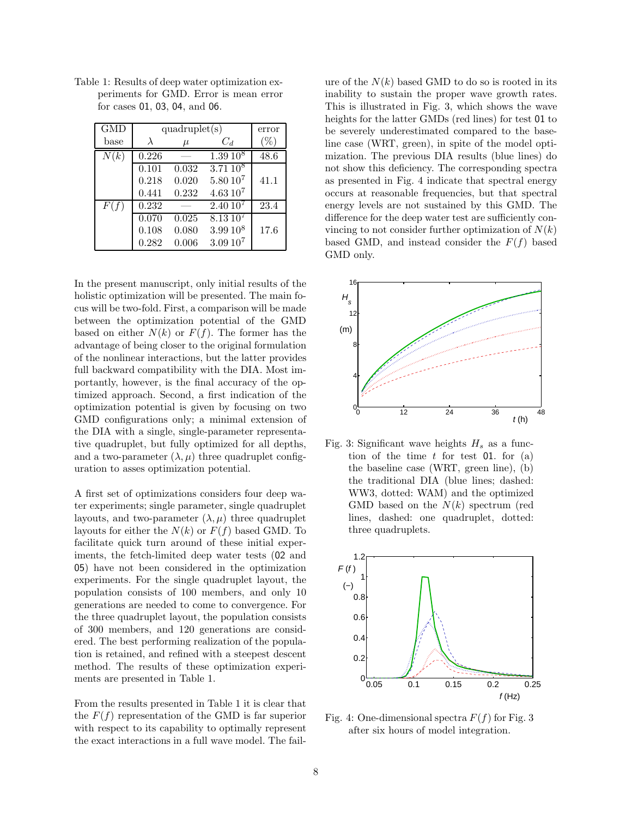| <b>GMD</b>       | quadruplet(s)      | error |                     |      |
|------------------|--------------------|-------|---------------------|------|
| $_{\text{base}}$ |                    | $\mu$ | $C_d$               |      |
| N(k)             | 0.226              |       | $1.39 10^8$         | 48.6 |
|                  | 0.101              | 0.032 | $3.7110^{8}$        |      |
|                  | 0.218              | 0.020 | $5.80 10^7$         | 41.1 |
|                  | 0.441              | 0.232 | $4.6310^{7}$        |      |
| F(f)             | 0.232              |       | 2.4010 <sup>7</sup> | 23.4 |
|                  | $\overline{0.0}70$ | 0.025 | $8.13\,10^{7}$      |      |
|                  | 0.108              | 0.080 | $3.99 10^8$         | 17.6 |
|                  | 0.282              | 0.006 | $3.0910^{7}$        |      |

Table 1: Results of deep water optimization experiments for GMD. Error is mean error for cases 01, 03, 04, and 06.

In the present manuscript, only initial results of the holistic optimization will be presented. The main focus will be two-fold. First, a comparison will be made between the optimization potential of the GMD based on either  $N(k)$  or  $F(f)$ . The former has the advantage of being closer to the original formulation of the nonlinear interactions, but the latter provides full backward compatibility with the DIA. Most importantly, however, is the final accuracy of the optimized approach. Second, a first indication of the optimization potential is given by focusing on two GMD configurations only; a minimal extension of the DIA with a single, single-parameter representative quadruplet, but fully optimized for all depths, and a two-parameter  $(\lambda, \mu)$  three quadruplet configuration to asses optimization potential.

A first set of optimizations considers four deep water experiments; single parameter, single quadruplet layouts, and two-parameter  $(\lambda, \mu)$  three quadruplet layouts for either the  $N(k)$  or  $F(f)$  based GMD. To facilitate quick turn around of these initial experiments, the fetch-limited deep water tests (02 and 05) have not been considered in the optimization experiments. For the single quadruplet layout, the population consists of 100 members, and only 10 generations are needed to come to convergence. For the three quadruplet layout, the population consists of 300 members, and 120 generations are considered. The best performing realization of the population is retained, and refined with a steepest descent method. The results of these optimization experiments are presented in Table 1.

From the results presented in Table 1 it is clear that the  $F(f)$  representation of the GMD is far superior with respect to its capability to optimally represent the exact interactions in a full wave model. The failure of the  $N(k)$  based GMD to do so is rooted in its inability to sustain the proper wave growth rates. This is illustrated in Fig. 3, which shows the wave heights for the latter GMDs (red lines) for test 01 to be severely underestimated compared to the baseline case (WRT, green), in spite of the model optimization. The previous DIA results (blue lines) do not show this deficiency. The corresponding spectra as presented in Fig. 4 indicate that spectral energy occurs at reasonable frequencies, but that spectral energy levels are not sustained by this GMD. The difference for the deep water test are sufficiently convincing to not consider further optimization of  $N(k)$ based GMD, and instead consider the  $F(f)$  based GMD only.



Fig. 3: Significant wave heights  $H_s$  as a function of the time  $t$  for test 01. for (a) the baseline case (WRT, green line), (b) the traditional DIA (blue lines; dashed: WW3, dotted: WAM) and the optimized GMD based on the  $N(k)$  spectrum (red lines, dashed: one quadruplet, dotted: three quadruplets.



Fig. 4: One-dimensional spectra  $F(f)$  for Fig. 3 after six hours of model integration.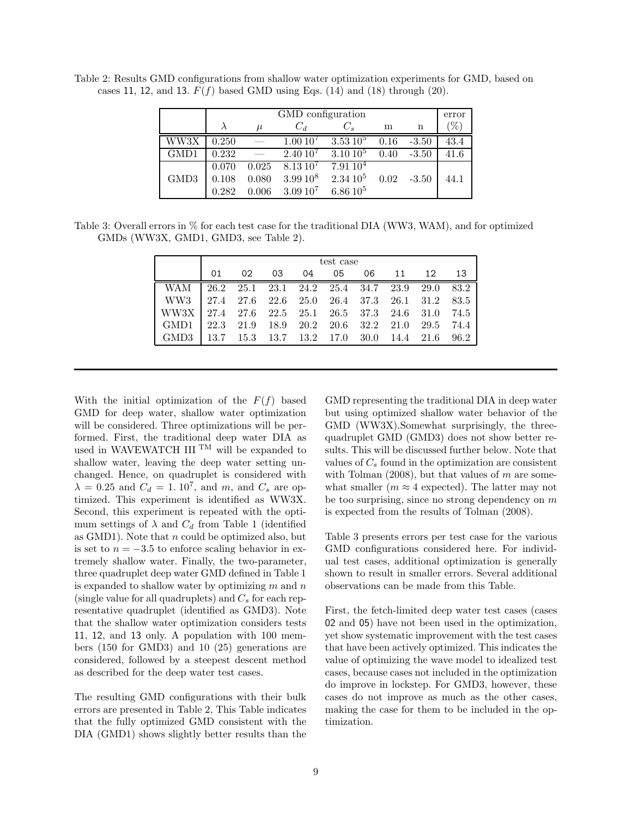|      | GMD configuration |       |                     |                     |      |         | error |
|------|-------------------|-------|---------------------|---------------------|------|---------|-------|
|      |                   | $\mu$ | $C_d$               | $C_{\rm c}$         | m    | n       | 'H    |
| WW3X | 0.250             |       | $1.0010^{7}$        | $3.53\,10^5$        | 0.16 | $-3.50$ | 43.4  |
| GMD1 | 0.232             |       | 2.4010 <sup>7</sup> | $3.10\,10^5$        | 0.40 | $-3.50$ | 41.6  |
|      | 0.070             | 0.025 | $8.13\,10^7$        | 7.9110 <sup>4</sup> |      |         |       |
| GMD3 | 0.108             | 0.080 | $3.99\,10^8$        | $2.3410^{5}$        | 0.02 | $-3.50$ | 44.1  |
|      | 0.282             | 0.006 | $3.0910^7$          | $6.8610^{5}$        |      |         |       |

Table 2: Results GMD configurations from shallow water optimization experiments for GMD, based on cases 11, 12, and 13.  $F(f)$  based GMD using Eqs. (14) and (18) through (20).

Table 3: Overall errors in % for each test case for the traditional DIA (WW3, WAM), and for optimized GMDs (WW3X, GMD1, GMD3, see Table 2).

|                                                                   | test case |                                                      |    |  |  |                   |  |  |  |
|-------------------------------------------------------------------|-----------|------------------------------------------------------|----|--|--|-------------------|--|--|--|
|                                                                   | 01        | 02                                                   | 03 |  |  | 04 05 06 11 12 13 |  |  |  |
| WA M                                                              |           | $\vert$ 26.2 25.1 23.1 24.2 25.4 34.7 23.9 29.0 83.2 |    |  |  |                   |  |  |  |
| WW3 27.4 27.6 22.6 25.0 26.4 37.3 26.1 31.2 83.5                  |           |                                                      |    |  |  |                   |  |  |  |
| WW3X 27.4 27.6 22.5 25.1 26.5 37.3 24.6 31.0 74.5                 |           |                                                      |    |  |  |                   |  |  |  |
| GMD1 22.3 21.9 18.9 20.2 20.6 32.2 21.0 29.5 74.4                 |           |                                                      |    |  |  |                   |  |  |  |
| $\vert$ GMD3 $\vert$ 13.7 15.3 13.7 13.2 17.0 30.0 14.4 21.6 96.2 |           |                                                      |    |  |  |                   |  |  |  |

With the initial optimization of the  $F(f)$  based GMD for deep water, shallow water optimization will be considered. Three optimizations will be performed. First, the traditional deep water DIA as used in WAVEWATCH III  $^{TM}$  will be expanded to shallow water, leaving the deep water setting unchanged. Hence, on quadruplet is considered with  $\lambda = 0.25$  and  $C_d = 1.10^7$ , and  $m$ , and  $C_s$  are optimized. This experiment is identified as WW3X. Second, this experiment is repeated with the optimum settings of  $\lambda$  and  $C_d$  from Table 1 (identified as  $GMD1$ ). Note that n could be optimized also, but is set to  $n = -3.5$  to enforce scaling behavior in extremely shallow water. Finally, the two-parameter, three quadruplet deep water GMD defined in Table 1 is expanded to shallow water by optimizing  $m$  and  $n$ (single value for all quadruplets) and  $C_s$  for each representative quadruplet (identified as GMD3). Note that the shallow water optimization considers tests 11, 12, and 13 only. A population with 100 members (150 for GMD3) and 10 (25) generations are considered, followed by a steepest descent method as described for the deep water test cases.

The resulting GMD configurations with their bulk errors are presented in Table 2, This Table indicates that the fully optimized GMD consistent with the DIA (GMD1) shows slightly better results than the GMD representing the traditional DIA in deep water but using optimized shallow water behavior of the GMD (WW3X).Somewhat surprisingly, the threequadruplet GMD (GMD3) does not show better results. This will be discussed further below. Note that values of  $C_s$  found in the optimization are consistent with Tolman  $(2008)$ , but that values of m are somewhat smaller ( $m \approx 4$  expected). The latter may not be too surprising, since no strong dependency on  $m$ is expected from the results of Tolman (2008).

Table 3 presents errors per test case for the various GMD configurations considered here. For individual test cases, additional optimization is generally shown to result in smaller errors. Several additional observations can be made from this Table.

First, the fetch-limited deep water test cases (cases 02 and 05) have not been used in the optimization, yet show systematic improvement with the test cases that have been actively optimized. This indicates the value of optimizing the wave model to idealized test cases, because cases not included in the optimization do improve in lockstep. For GMD3, however, these cases do not improve as much as the other cases, making the case for them to be included in the optimization.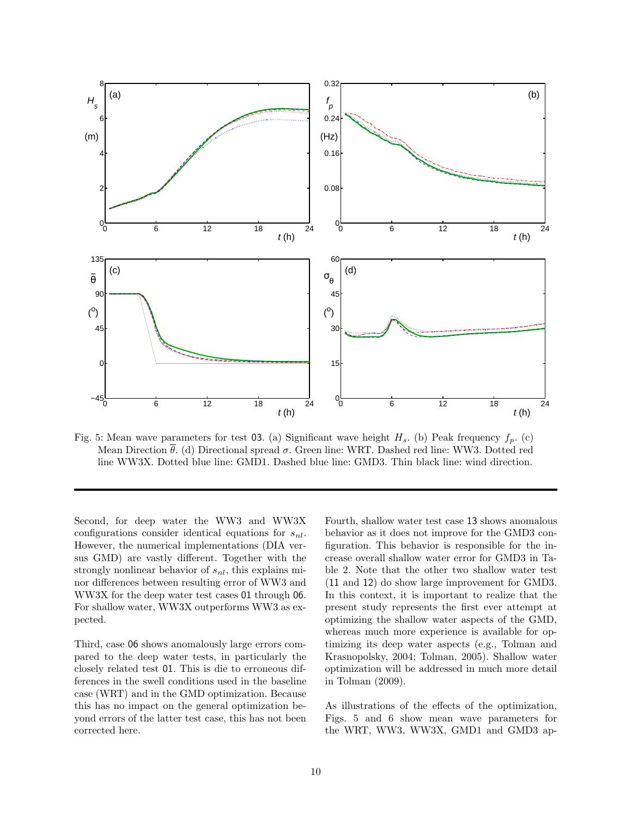

Fig. 5: Mean wave parameters for test 03. (a) Significant wave height  $H_s$ . (b) Peak frequency  $f_p$ . (c) Mean Direction  $\bar{\theta}$ . (d) Directional spread  $\sigma$ . Green line: WRT. Dashed red line: WW3. Dotted red line WW3X. Dotted blue line: GMD1. Dashed blue line: GMD3. Thin black line: wind direction.

Second, for deep water the WW3 and WW3X configurations consider identical equations for  $s_{nl}$ . However, the numerical implementations (DIA versus GMD) are vastly different. Together with the strongly nonlinear behavior of  $s_{nl}$ , this explains minor differences between resulting error of WW3 and WW3X for the deep water test cases 01 through 06. For shallow water, WW3X outperforms WW3 as expected.

Third, case 06 shows anomalously large errors compared to the deep water tests, in particularly the closely related test 01. This is die to erroneous differences in the swell conditions used in the baseline case (WRT) and in the GMD optimization. Because this has no impact on the general optimization beyond errors of the latter test case, this has not been corrected here.

Fourth, shallow water test case 13 shows anomalous behavior as it does not improve for the GMD3 configuration. This behavior is responsible for the increase overall shallow water error for GMD3 in Table 2. Note that the other two shallow water test (11 and 12) do show large improvement for GMD3. In this context, it is important to realize that the present study represents the first ever attempt at optimizing the shallow water aspects of the GMD, whereas much more experience is available for optimizing its deep water aspects (e.g., Tolman and Krasnopolsky, 2004; Tolman, 2005). Shallow water optimization will be addressed in much more detail in Tolman (2009).

As illustrations of the effects of the optimization, Figs. 5 and 6 show mean wave parameters for the WRT, WW3, WW3X, GMD1 and GMD3 ap-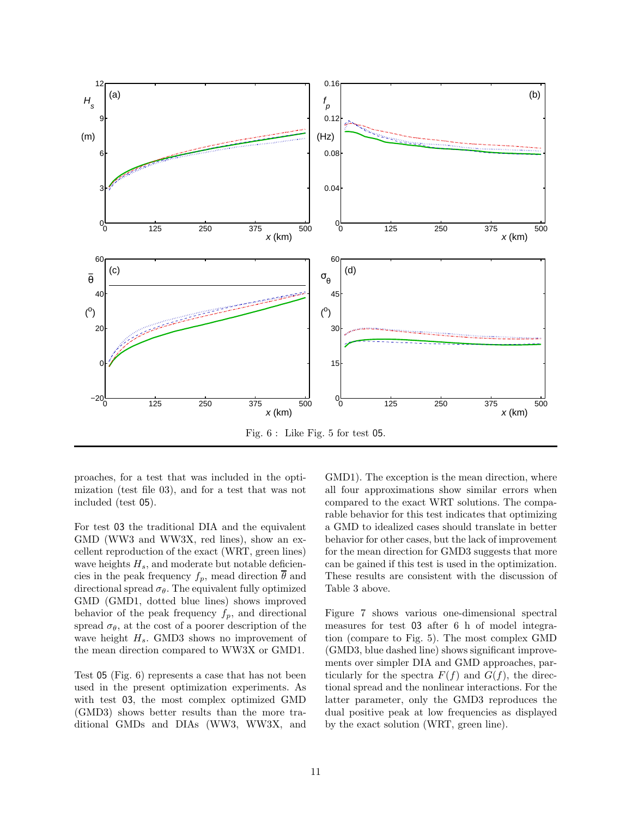

proaches, for a test that was included in the optimization (test file 03), and for a test that was not included (test 05).

For test 03 the traditional DIA and the equivalent GMD (WW3 and WW3X, red lines), show an excellent reproduction of the exact (WRT, green lines) wave heights  $H_s$ , and moderate but notable deficiencies in the peak frequency  $f_p$ , mead direction  $\overline{\theta}$  and directional spread  $\sigma_{\theta}$ . The equivalent fully optimized GMD (GMD1, dotted blue lines) shows improved behavior of the peak frequency  $f_p$ , and directional spread  $\sigma_{\theta}$ , at the cost of a poorer description of the wave height  $H_s$ . GMD3 shows no improvement of the mean direction compared to WW3X or GMD1.

Test 05 (Fig. 6) represents a case that has not been used in the present optimization experiments. As with test 03, the most complex optimized GMD (GMD3) shows better results than the more traditional GMDs and DIAs (WW3, WW3X, and GMD1). The exception is the mean direction, where all four approximations show similar errors when compared to the exact WRT solutions. The comparable behavior for this test indicates that optimizing a GMD to idealized cases should translate in better behavior for other cases, but the lack of improvement for the mean direction for GMD3 suggests that more can be gained if this test is used in the optimization. These results are consistent with the discussion of Table 3 above.

Figure 7 shows various one-dimensional spectral measures for test 03 after 6 h of model integration (compare to Fig. 5). The most complex GMD (GMD3, blue dashed line) shows significant improvements over simpler DIA and GMD approaches, particularly for the spectra  $F(f)$  and  $G(f)$ , the directional spread and the nonlinear interactions. For the latter parameter, only the GMD3 reproduces the dual positive peak at low frequencies as displayed by the exact solution (WRT, green line).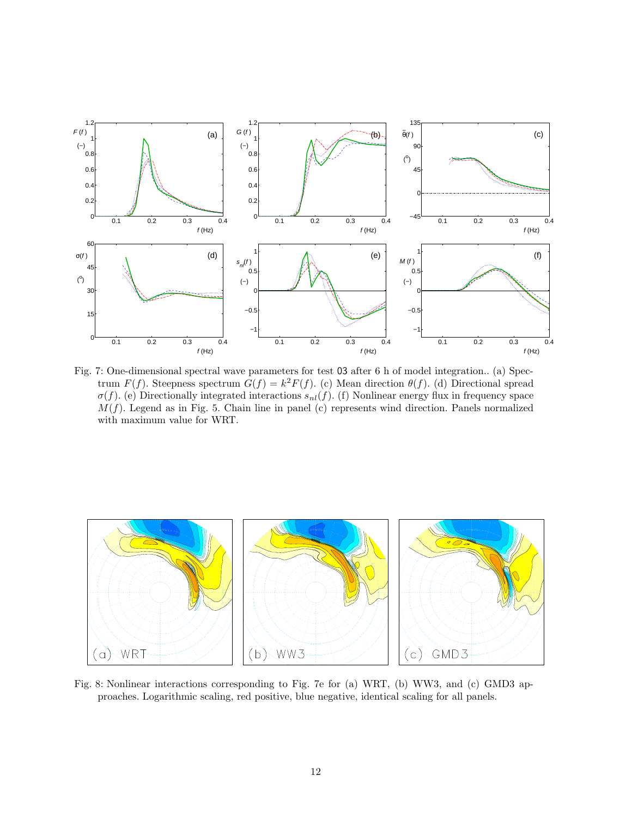

Fig. 7: One-dimensional spectral wave parameters for test 03 after 6 h of model integration.. (a) Spectrum  $F(f)$ . Steepness spectrum  $G(f) = k^2 F(f)$ . (c) Mean direction  $\theta(f)$ . (d) Directional spread  $\sigma(f)$ . (e) Directionally integrated interactions  $s_{nl}(f)$ . (f) Nonlinear energy flux in frequency space  $M(f)$ . Legend as in Fig. 5. Chain line in panel (c) represents wind direction. Panels normalized with maximum value for WRT.



Fig. 8: Nonlinear interactions corresponding to Fig. 7e for (a) WRT, (b) WW3, and (c) GMD3 approaches. Logarithmic scaling, red positive, blue negative, identical scaling for all panels.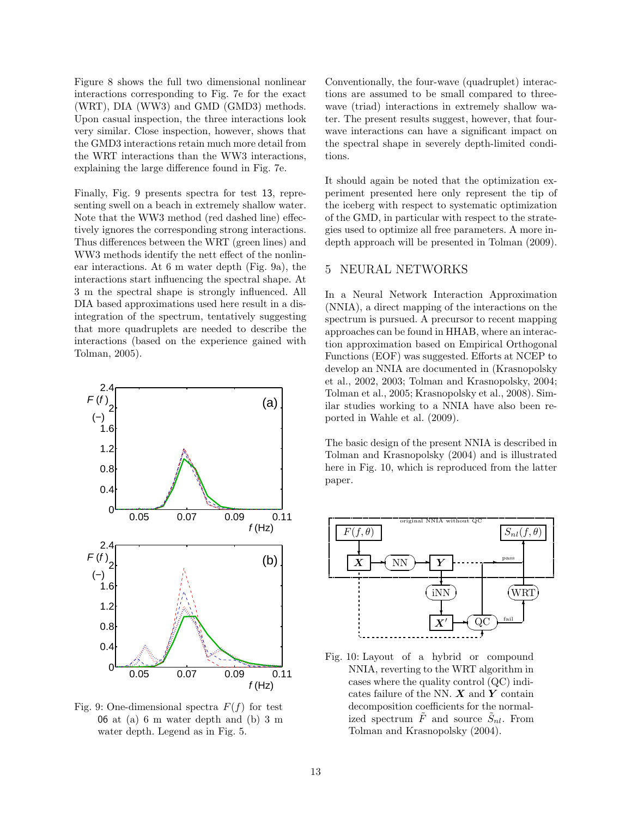Figure 8 shows the full two dimensional nonlinear interactions corresponding to Fig. 7e for the exact (WRT), DIA (WW3) and GMD (GMD3) methods. Upon casual inspection, the three interactions look very similar. Close inspection, however, shows that the GMD3 interactions retain much more detail from the WRT interactions than the WW3 interactions, explaining the large difference found in Fig. 7e.

Finally, Fig. 9 presents spectra for test 13, representing swell on a beach in extremely shallow water. Note that the WW3 method (red dashed line) effectively ignores the corresponding strong interactions. Thus differences between the WRT (green lines) and WW3 methods identify the nett effect of the nonlinear interactions. At 6 m water depth (Fig. 9a), the interactions start influencing the spectral shape. At 3 m the spectral shape is strongly influenced. All DIA based approximations used here result in a disintegration of the spectrum, tentatively suggesting that more quadruplets are needed to describe the interactions (based on the experience gained with Tolman, 2005).



Fig. 9: One-dimensional spectra  $F(f)$  for test 06 at (a) 6 m water depth and (b) 3 m water depth. Legend as in Fig. 5.

Conventionally, the four-wave (quadruplet) interactions are assumed to be small compared to threewave (triad) interactions in extremely shallow water. The present results suggest, however, that fourwave interactions can have a significant impact on the spectral shape in severely depth-limited conditions.

It should again be noted that the optimization experiment presented here only represent the tip of the iceberg with respect to systematic optimization of the GMD, in particular with respect to the strategies used to optimize all free parameters. A more indepth approach will be presented in Tolman (2009).

# 5 NEURAL NETWORKS

In a Neural Network Interaction Approximation (NNIA), a direct mapping of the interactions on the spectrum is pursued. A precursor to recent mapping approaches can be found in HHAB, where an interaction approximation based on Empirical Orthogonal Functions (EOF) was suggested. Efforts at NCEP to develop an NNIA are documented in (Krasnopolsky et al., 2002, 2003; Tolman and Krasnopolsky, 2004; Tolman et al., 2005; Krasnopolsky et al., 2008). Similar studies working to a NNIA have also been reported in Wahle et al. (2009).

The basic design of the present NNIA is described in Tolman and Krasnopolsky (2004) and is illustrated here in Fig. 10, which is reproduced from the latter paper.



Fig. 10: Layout of a hybrid or compound NNIA, reverting to the WRT algorithm in cases where the quality control (QC) indicates failure of the NN.  $\boldsymbol{X}$  and  $\boldsymbol{Y}$  contain decomposition coefficients for the normalized spectrum  $\tilde{F}$  and source  $\tilde{S}_{nl}$ . From Tolman and Krasnopolsky (2004).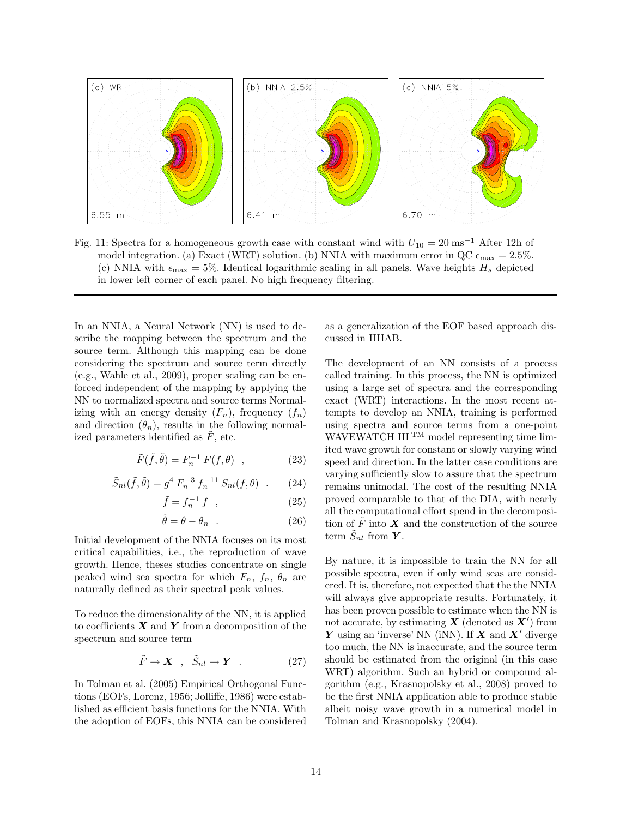

Fig. 11: Spectra for a homogeneous growth case with constant wind with  $U_{10} = 20 \text{ ms}^{-1}$  After 12h of model integration. (a) Exact (WRT) solution. (b) NNIA with maximum error in QC  $\epsilon_{\text{max}} = 2.5\%$ . (c) NNIA with  $\epsilon_{\text{max}} = 5\%$ . Identical logarithmic scaling in all panels. Wave heights  $H_s$  depicted in lower left corner of each panel. No high frequency filtering.

In an NNIA, a Neural Network  $(NN)$  is used to describe the mapping between the spectrum and the source term. Although this mapping can be done considering the spectrum and source term directly (e.g., Wahle et al., 2009), proper scaling can be enforced independent of the mapping by applying the NN to normalized spectra and source terms Normalizing with an energy density  $(F_n)$ , frequency  $(f_n)$ and direction  $(\theta_n)$ , results in the following normalized parameters identified as  $\tilde{F}$ , etc.

$$
\tilde{F}(\tilde{f}, \tilde{\theta}) = F_n^{-1} F(f, \theta) , \qquad (23)
$$

$$
\tilde{S}_{nl}(\tilde{f}, \tilde{\theta}) = g^4 F_n^{-3} f_n^{-11} S_{nl}(f, \theta) \quad . \tag{24}
$$

$$
\tilde{f} = f_n^{-1} f \quad , \tag{25}
$$

$$
\tilde{\theta} = \theta - \theta_n \quad . \tag{26}
$$

Initial development of the NNIA focuses on its most critical capabilities, i.e., the reproduction of wave growth. Hence, theses studies concentrate on single peaked wind sea spectra for which  $F_n$ ,  $f_n$ ,  $\theta_n$  are naturally defined as their spectral peak values.

To reduce the dimensionality of the NN, it is applied to coefficients  $X$  and  $Y$  from a decomposition of the spectrum and source term

$$
\tilde{F} \to \mathbf{X} \quad , \quad \tilde{S}_{nl} \to \mathbf{Y} \quad . \tag{27}
$$

In Tolman et al. (2005) Empirical Orthogonal Functions (EOFs, Lorenz, 1956; Jolliffe, 1986) were established as efficient basis functions for the NNIA. With the adoption of EOFs, this NNIA can be considered as a generalization of the EOF based approach discussed in HHAB.

The development of an NN consists of a process called training. In this process, the NN is optimized using a large set of spectra and the corresponding exact (WRT) interactions. In the most recent attempts to develop an NNIA, training is performed using spectra and source terms from a one-point WAVEWATCH III<sup>TM</sup> model representing time limited wave growth for constant or slowly varying wind speed and direction. In the latter case conditions are varying sufficiently slow to assure that the spectrum remains unimodal. The cost of the resulting NNIA proved comparable to that of the DIA, with nearly all the computational effort spend in the decomposition of  $\tilde{F}$  into  $X$  and the construction of the source term  $\tilde{S}_{nl}$  from  $\boldsymbol{Y}$ .

By nature, it is impossible to train the NN for all possible spectra, even if only wind seas are considered. It is, therefore, not expected that the the NNIA will always give appropriate results. Fortunately, it has been proven possible to estimate when the NN is not accurate, by estimating  $X$  (denoted as  $X'$ ) from  $\boldsymbol{Y}$  using an 'inverse' NN (iNN). If  $\boldsymbol{X}$  and  $\boldsymbol{X}'$  diverge too much, the NN is inaccurate, and the source term should be estimated from the original (in this case WRT) algorithm. Such an hybrid or compound algorithm (e.g., Krasnopolsky et al., 2008) proved to be the first NNIA application able to produce stable albeit noisy wave growth in a numerical model in Tolman and Krasnopolsky (2004).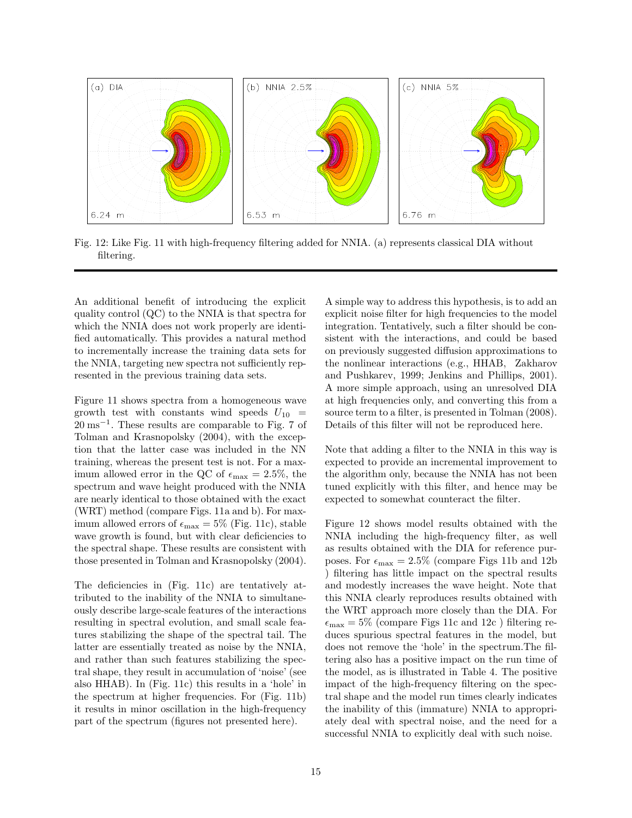

Fig. 12: Like Fig. 11 with high-frequency filtering added for NNIA. (a) represents classical DIA without filtering.

An additional benefit of introducing the explicit quality control (QC) to the NNIA is that spectra for which the NNIA does not work properly are identified automatically. This provides a natural method to incrementally increase the training data sets for the NNIA, targeting new spectra not sufficiently represented in the previous training data sets.

Figure 11 shows spectra from a homogeneous wave growth test with constants wind speeds  $U_{10}$  = 20 ms<sup>-1</sup>. These results are comparable to Fig. 7 of Tolman and Krasnopolsky (2004), with the exception that the latter case was included in the NN training, whereas the present test is not. For a maximum allowed error in the QC of  $\epsilon_{\rm max}$  = 2.5%, the spectrum and wave height produced with the NNIA are nearly identical to those obtained with the exact (WRT) method (compare Figs. 11a and b). For maximum allowed errors of  $\epsilon_{\text{max}} = 5\%$  (Fig. 11c), stable wave growth is found, but with clear deficiencies to the spectral shape. These results are consistent with those presented in Tolman and Krasnopolsky (2004).

The deficiencies in (Fig. 11c) are tentatively attributed to the inability of the NNIA to simultaneously describe large-scale features of the interactions resulting in spectral evolution, and small scale features stabilizing the shape of the spectral tail. The latter are essentially treated as noise by the NNIA, and rather than such features stabilizing the spectral shape, they result in accumulation of 'noise' (see also HHAB). In (Fig. 11c) this results in a 'hole' in the spectrum at higher frequencies. For (Fig. 11b) it results in minor oscillation in the high-frequency part of the spectrum (figures not presented here).

A simple way to address this hypothesis, is to add an explicit noise filter for high frequencies to the model integration. Tentatively, such a filter should be consistent with the interactions, and could be based on previously suggested diffusion approximations to the nonlinear interactions (e.g., HHAB, Zakharov and Pushkarev, 1999; Jenkins and Phillips, 2001). A more simple approach, using an unresolved DIA at high frequencies only, and converting this from a source term to a filter, is presented in Tolman (2008). Details of this filter will not be reproduced here.

Note that adding a filter to the NNIA in this way is expected to provide an incremental improvement to the algorithm only, because the NNIA has not been tuned explicitly with this filter, and hence may be expected to somewhat counteract the filter.

Figure 12 shows model results obtained with the NNIA including the high-frequency filter, as well as results obtained with the DIA for reference purposes. For  $\epsilon_{\text{max}} = 2.5\%$  (compare Figs 11b and 12b) ) filtering has little impact on the spectral results and modestly increases the wave height. Note that this NNIA clearly reproduces results obtained with the WRT approach more closely than the DIA. For  $\epsilon_{\text{max}} = 5\%$  (compare Figs 11c and 12c) filtering reduces spurious spectral features in the model, but does not remove the 'hole' in the spectrum.The filtering also has a positive impact on the run time of the model, as is illustrated in Table 4. The positive impact of the high-frequency filtering on the spectral shape and the model run times clearly indicates the inability of this (immature) NNIA to appropriately deal with spectral noise, and the need for a successful NNIA to explicitly deal with such noise.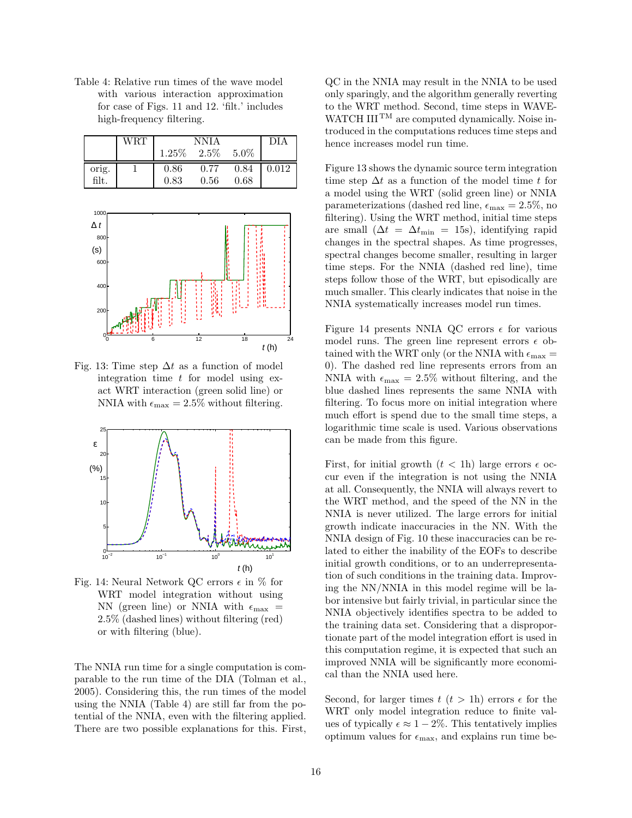Table 4: Relative run times of the wave model with various interaction approximation for case of Figs. 11 and 12. 'filt.' includes high-frequency filtering.

|       | WRT | <b>NNIA</b>   |      |         | DI A      |
|-------|-----|---------------|------|---------|-----------|
|       |     | $1.25\%$ 2.5% |      | $5.0\%$ |           |
| orig. |     | 0.86          | 0.77 | 0.84    | $0.012\,$ |
| filt. |     | 0.83          | 0.56 | 0.68    |           |



Fig. 13: Time step  $\Delta t$  as a function of model integration time  $t$  for model using exact WRT interaction (green solid line) or NNIA with  $\epsilon_{\text{max}} = 2.5\%$  without filtering.



Fig. 14: Neural Network QC errors  $\epsilon$  in  $\%$  for WRT model integration without using NN (green line) or NNIA with  $\epsilon_{\text{max}}$  = 2.5% (dashed lines) without filtering (red) or with filtering (blue).

The NNIA run time for a single computation is comparable to the run time of the DIA (Tolman et al., 2005). Considering this, the run times of the model using the NNIA (Table 4) are still far from the potential of the NNIA, even with the filtering applied. There are two possible explanations for this. First, QC in the NNIA may result in the NNIA to be used only sparingly, and the algorithm generally reverting to the WRT method. Second, time steps in WAVE-WATCH III<sup>TM</sup> are computed dynamically. Noise introduced in the computations reduces time steps and hence increases model run time.

Figure 13 shows the dynamic source term integration time step  $\Delta t$  as a function of the model time t for a model using the WRT (solid green line) or NNIA parameterizations (dashed red line,  $\epsilon_{\text{max}} = 2.5\%,$  no filtering). Using the WRT method, initial time steps are small  $(\Delta t = \Delta t_{\text{min}} = 15$ s), identifying rapid changes in the spectral shapes. As time progresses, spectral changes become smaller, resulting in larger time steps. For the NNIA (dashed red line), time steps follow those of the WRT, but episodically are much smaller. This clearly indicates that noise in the NNIA systematically increases model run times.

Figure 14 presents NNIA QC errors  $\epsilon$  for various model runs. The green line represent errors  $\epsilon$  obtained with the WRT only (or the NNIA with  $\epsilon_{\text{max}} =$ 0). The dashed red line represents errors from an NNIA with  $\epsilon_{\text{max}} = 2.5\%$  without filtering, and the blue dashed lines represents the same NNIA with filtering. To focus more on initial integration where much effort is spend due to the small time steps, a logarithmic time scale is used. Various observations can be made from this figure.

First, for initial growth  $(t < 1)$  large errors  $\epsilon$  occur even if the integration is not using the NNIA at all. Consequently, the NNIA will always revert to the WRT method, and the speed of the NN in the NNIA is never utilized. The large errors for initial growth indicate inaccuracies in the NN. With the NNIA design of Fig. 10 these inaccuracies can be related to either the inability of the EOFs to describe initial growth conditions, or to an underrepresentation of such conditions in the training data. Improving the NN/NNIA in this model regime will be labor intensive but fairly trivial, in particular since the NNIA objectively identifies spectra to be added to the training data set. Considering that a disproportionate part of the model integration effort is used in this computation regime, it is expected that such an improved NNIA will be significantly more economical than the NNIA used here.

Second, for larger times  $t$   $(t > 1)$  errors  $\epsilon$  for the WRT only model integration reduce to finite values of typically  $\epsilon \approx 1-2\%$ . This tentatively implies optimum values for  $\epsilon_{\text{max}}$ , and explains run time be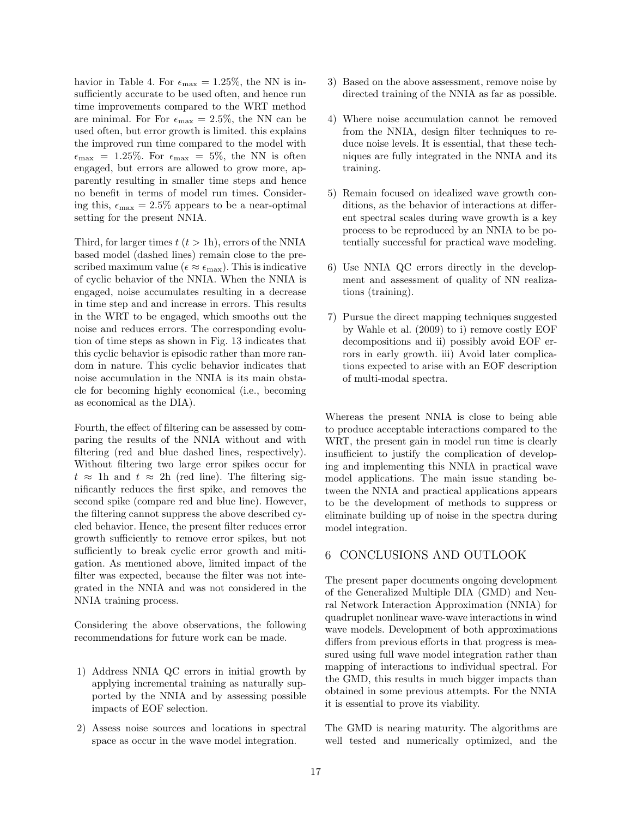havior in Table 4. For  $\epsilon_{\text{max}} = 1.25\%$ , the NN is insufficiently accurate to be used often, and hence run time improvements compared to the WRT method are minimal. For For  $\epsilon_{\text{max}} = 2.5\%$ , the NN can be used often, but error growth is limited. this explains the improved run time compared to the model with  $\epsilon_{\text{max}} = 1.25\%$ . For  $\epsilon_{\text{max}} = 5\%$ , the NN is often engaged, but errors are allowed to grow more, apparently resulting in smaller time steps and hence no benefit in terms of model run times. Considering this,  $\epsilon_{\text{max}} = 2.5\%$  appears to be a near-optimal setting for the present NNIA.

Third, for larger times  $t (t > 1h)$ , errors of the NNIA based model (dashed lines) remain close to the prescribed maximum value ( $\epsilon \approx \epsilon_{\text{max}}$ ). This is indicative of cyclic behavior of the NNIA. When the NNIA is engaged, noise accumulates resulting in a decrease in time step and and increase in errors. This results in the WRT to be engaged, which smooths out the noise and reduces errors. The corresponding evolution of time steps as shown in Fig. 13 indicates that this cyclic behavior is episodic rather than more random in nature. This cyclic behavior indicates that noise accumulation in the NNIA is its main obstacle for becoming highly economical (i.e., becoming as economical as the DIA).

Fourth, the effect of filtering can be assessed by comparing the results of the NNIA without and with filtering (red and blue dashed lines, respectively). Without filtering two large error spikes occur for  $t \approx 1$ h and  $t \approx 2$ h (red line). The filtering significantly reduces the first spike, and removes the second spike (compare red and blue line). However, the filtering cannot suppress the above described cycled behavior. Hence, the present filter reduces error growth sufficiently to remove error spikes, but not sufficiently to break cyclic error growth and mitigation. As mentioned above, limited impact of the filter was expected, because the filter was not integrated in the NNIA and was not considered in the NNIA training process.

Considering the above observations, the following recommendations for future work can be made.

- 1) Address NNIA QC errors in initial growth by applying incremental training as naturally supported by the NNIA and by assessing possible impacts of EOF selection.
- 2) Assess noise sources and locations in spectral space as occur in the wave model integration.
- 3) Based on the above assessment, remove noise by directed training of the NNIA as far as possible.
- 4) Where noise accumulation cannot be removed from the NNIA, design filter techniques to reduce noise levels. It is essential, that these techniques are fully integrated in the NNIA and its training.
- 5) Remain focused on idealized wave growth conditions, as the behavior of interactions at different spectral scales during wave growth is a key process to be reproduced by an NNIA to be potentially successful for practical wave modeling.
- 6) Use NNIA QC errors directly in the development and assessment of quality of NN realizations (training).
- 7) Pursue the direct mapping techniques suggested by Wahle et al. (2009) to i) remove costly EOF decompositions and ii) possibly avoid EOF errors in early growth. iii) Avoid later complications expected to arise with an EOF description of multi-modal spectra.

Whereas the present NNIA is close to being able to produce acceptable interactions compared to the WRT, the present gain in model run time is clearly insufficient to justify the complication of developing and implementing this NNIA in practical wave model applications. The main issue standing between the NNIA and practical applications appears to be the development of methods to suppress or eliminate building up of noise in the spectra during model integration.

#### 6 CONCLUSIONS AND OUTLOOK

The present paper documents ongoing development of the Generalized Multiple DIA (GMD) and Neural Network Interaction Approximation (NNIA) for quadruplet nonlinear wave-wave interactions in wind wave models. Development of both approximations differs from previous efforts in that progress is measured using full wave model integration rather than mapping of interactions to individual spectral. For the GMD, this results in much bigger impacts than obtained in some previous attempts. For the NNIA it is essential to prove its viability.

The GMD is nearing maturity. The algorithms are well tested and numerically optimized, and the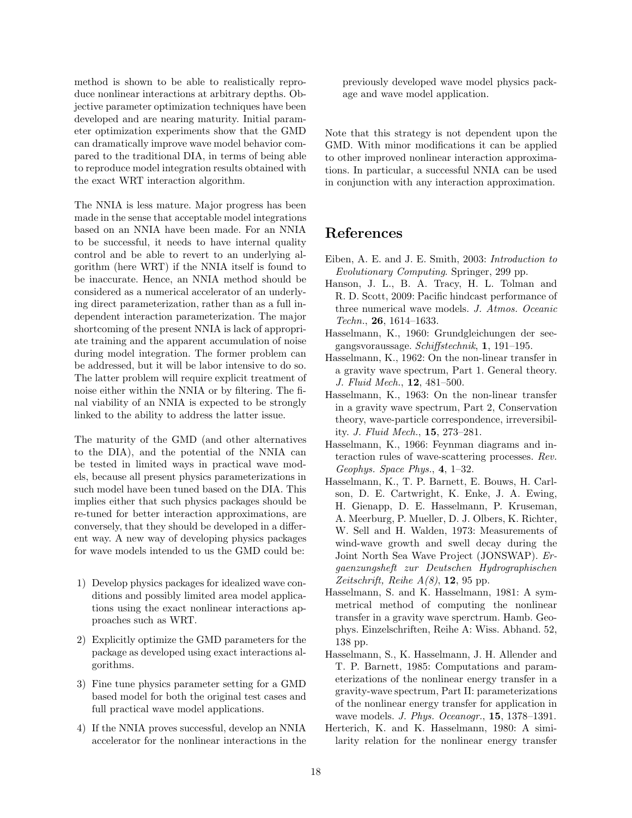method is shown to be able to realistically reproduce nonlinear interactions at arbitrary depths. Objective parameter optimization techniques have been developed and are nearing maturity. Initial parameter optimization experiments show that the GMD can dramatically improve wave model behavior compared to the traditional DIA, in terms of being able to reproduce model integration results obtained with the exact WRT interaction algorithm.

The NNIA is less mature. Major progress has been made in the sense that acceptable model integrations based on an NNIA have been made. For an NNIA to be successful, it needs to have internal quality control and be able to revert to an underlying algorithm (here WRT) if the NNIA itself is found to be inaccurate. Hence, an NNIA method should be considered as a numerical accelerator of an underlying direct parameterization, rather than as a full independent interaction parameterization. The major shortcoming of the present NNIA is lack of appropriate training and the apparent accumulation of noise during model integration. The former problem can be addressed, but it will be labor intensive to do so. The latter problem will require explicit treatment of noise either within the NNIA or by filtering. The final viability of an NNIA is expected to be strongly linked to the ability to address the latter issue.

The maturity of the GMD (and other alternatives to the DIA), and the potential of the NNIA can be tested in limited ways in practical wave models, because all present physics parameterizations in such model have been tuned based on the DIA. This implies either that such physics packages should be re-tuned for better interaction approximations, are conversely, that they should be developed in a different way. A new way of developing physics packages for wave models intended to us the GMD could be:

- 1) Develop physics packages for idealized wave conditions and possibly limited area model applications using the exact nonlinear interactions approaches such as WRT.
- 2) Explicitly optimize the GMD parameters for the package as developed using exact interactions algorithms.
- 3) Fine tune physics parameter setting for a GMD based model for both the original test cases and full practical wave model applications.
- 4) If the NNIA proves successful, develop an NNIA accelerator for the nonlinear interactions in the

previously developed wave model physics package and wave model application.

Note that this strategy is not dependent upon the GMD. With minor modifications it can be applied to other improved nonlinear interaction approximations. In particular, a successful NNIA can be used in conjunction with any interaction approximation.

# References

- Eiben, A. E. and J. E. Smith, 2003: Introduction to Evolutionary Computing. Springer, 299 pp.
- Hanson, J. L., B. A. Tracy, H. L. Tolman and R. D. Scott, 2009: Pacific hindcast performance of three numerical wave models. J. Atmos. Oceanic  $Techn., 26, 1614-1633.$
- Hasselmann, K., 1960: Grundgleichungen der seegangsvoraussage. Schiffstechnik, 1, 191–195.
- Hasselmann, K., 1962: On the non-linear transfer in a gravity wave spectrum, Part 1. General theory. J. Fluid Mech., 12, 481–500.
- Hasselmann, K., 1963: On the non-linear transfer in a gravity wave spectrum, Part 2, Conservation theory, wave-particle correspondence, irreversibility. J. Fluid Mech., 15, 273–281.
- Hasselmann, K., 1966: Feynman diagrams and interaction rules of wave-scattering processes. Rev. Geophys. Space Phys., 4, 1–32.
- Hasselmann, K., T. P. Barnett, E. Bouws, H. Carlson, D. E. Cartwright, K. Enke, J. A. Ewing, H. Gienapp, D. E. Hasselmann, P. Kruseman, A. Meerburg, P. Mueller, D. J. Olbers, K. Richter, W. Sell and H. Walden, 1973: Measurements of wind-wave growth and swell decay during the Joint North Sea Wave Project (JONSWAP). Ergaenzungsheft zur Deutschen Hydrographischen Zeitschrift, Reihe  $A(8)$ , 12, 95 pp.
- Hasselmann, S. and K. Hasselmann, 1981: A symmetrical method of computing the nonlinear transfer in a gravity wave sperctrum. Hamb. Geophys. Einzelschriften, Reihe A: Wiss. Abhand. 52, 138 pp.
- Hasselmann, S., K. Hasselmann, J. H. Allender and T. P. Barnett, 1985: Computations and parameterizations of the nonlinear energy transfer in a gravity-wave spectrum, Part II: parameterizations of the nonlinear energy transfer for application in wave models. *J. Phys. Oceanogr.*, **15**, 1378–1391.
- Herterich, K. and K. Hasselmann, 1980: A similarity relation for the nonlinear energy transfer